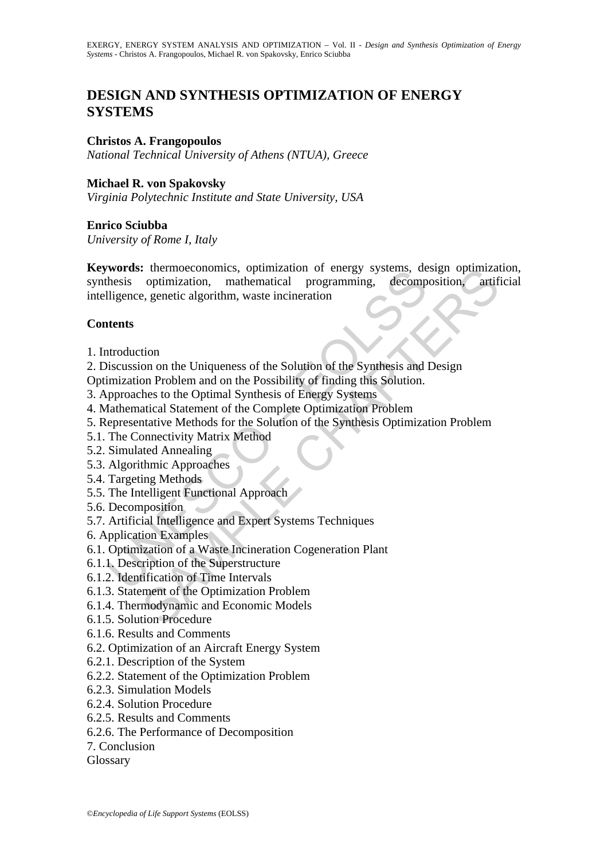# **DESIGN AND SYNTHESIS OPTIMIZATION OF ENERGY SYSTEMS**

## **Christos A. Frangopoulos**

*National Technical University of Athens (NTUA), Greece* 

## **Michael R. von Spakovsky**

*Virginia Polytechnic Institute and State University, USA* 

# **Enrico Sciubba**

*University of Rome I, Italy* 

Word's: the<br>moeconomics, optimization of energy systems, definition of energy and<br>hesis optimization, mathematical programming, decompligence, genetic algorithm, waste incineration<br>difference, genetic algorithm, waste inci Examples and Experimental approach<br>
is thermoconomics, optimization or energy systems, design optimization, mathematical programming, decomposition, artif<br>
expensively, exercic algorithm, waste incineration<br>
tion<br>
tion on **Keywords:** thermoeconomics, optimization of energy systems, design optimization, synthesis optimization, mathematical programming, decomposition, artificial intelligence, genetic algorithm, waste incineration

# **Contents**

1. Introduction

2. Discussion on the Uniqueness of the Solution of the Synthesis and Design

Optimization Problem and on the Possibility of finding this Solution.

- 3. Approaches to the Optimal Synthesis of Energy Systems
- 4. Mathematical Statement of the Complete Optimization Problem
- 5. Representative Methods for the Solution of the Synthesis Optimization Problem
- 5.1. The Connectivity Matrix Method
- 5.2. Simulated Annealing
- 5.3. Algorithmic Approaches
- 5.4. Targeting Methods
- 5.5. The Intelligent Functional Approach
- 5.6. Decomposition
- 5.7. Artificial Intelligence and Expert Systems Techniques
- 6. Application Examples
- 6.1. Optimization of a Waste Incineration Cogeneration Plant
- 6.1.1. Description of the Superstructure
- 6.1.2. Identification of Time Intervals
- 6.1.3. Statement of the Optimization Problem
- 6.1.4. Thermodynamic and Economic Models
- 6.1.5. Solution Procedure
- 6.1.6. Results and Comments
- 6.2. Optimization of an Aircraft Energy System
- 6.2.1. Description of the System
- 6.2.2. Statement of the Optimization Problem
- 6.2.3. Simulation Models
- 6.2.4. Solution Procedure
- 6.2.5. Results and Comments
- 6.2.6. The Performance of Decomposition
- 7. Conclusion
- Glossary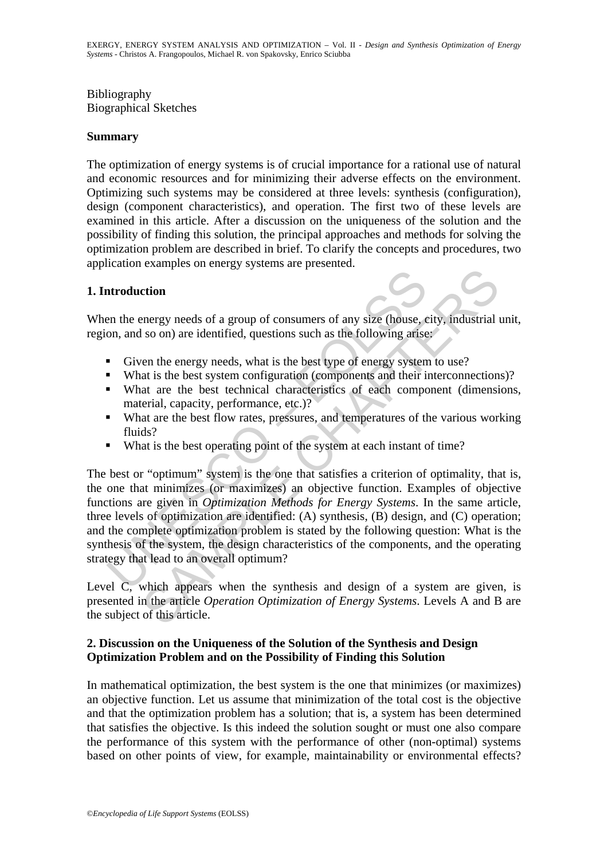# Bibliography Biographical Sketches

# **Summary**

The optimization of energy systems is of crucial importance for a rational use of natural and economic resources and for minimizing their adverse effects on the environment. Optimizing such systems may be considered at three levels: synthesis (configuration), design (component characteristics), and operation. The first two of these levels are examined in this article. After a discussion on the uniqueness of the solution and the possibility of finding this solution, the principal approaches and methods for solving the optimization problem are described in brief. To clarify the concepts and procedures, two application examples on energy systems are presented.

# **1. Introduction**

When the energy needs of a group of consumers of any size (house, city, industrial unit, region, and so on) are identified, questions such as the following arise:

- Given the energy needs, what is the best type of energy system to use?
- What is the best system configuration (components and their interconnections)?
- What are the best technical characteristics of each component (dimensions, material, capacity, performance, etc.)?
- What are the best flow rates, pressures, and temperatures of the various working fluids?
- What is the best operating point of the system at each instant of time?

**Introduction**<br> **IEV and Source 19 and Source 10 and Source 20 and Source 20 and Source 20 and Source 20 and Source 20 and Source 20 and Source 10 and Source 10 and Source 10 and The level state what is the best technical Example an entry of a group of consumers of any size (house, eity, industrial I<br>so on) are identified, questions such as the following artise;<br>ten the energy needs, what is the best type of energy system to use?<br>at is the** The best or "optimum" system is the one that satisfies a criterion of optimality, that is, the one that minimizes (or maximizes) an objective function. Examples of objective functions are given in *Optimization Methods for Energy Systems*. In the same article, three levels of optimization are identified: (A) synthesis, (B) design, and (C) operation; and the complete optimization problem is stated by the following question: What is the synthesis of the system, the design characteristics of the components, and the operating strategy that lead to an overall optimum?

Level C, which appears when the synthesis and design of a system are given, is presented in the article *Operation Optimization of Energy Systems*. Levels A and B are the subject of this article.

# **2. Discussion on the Uniqueness of the Solution of the Synthesis and Design Optimization Problem and on the Possibility of Finding this Solution**

In mathematical optimization, the best system is the one that minimizes (or maximizes) an objective function. Let us assume that minimization of the total cost is the objective and that the optimization problem has a solution; that is, a system has been determined that satisfies the objective. Is this indeed the solution sought or must one also compare the performance of this system with the performance of other (non-optimal) systems based on other points of view, for example, maintainability or environmental effects?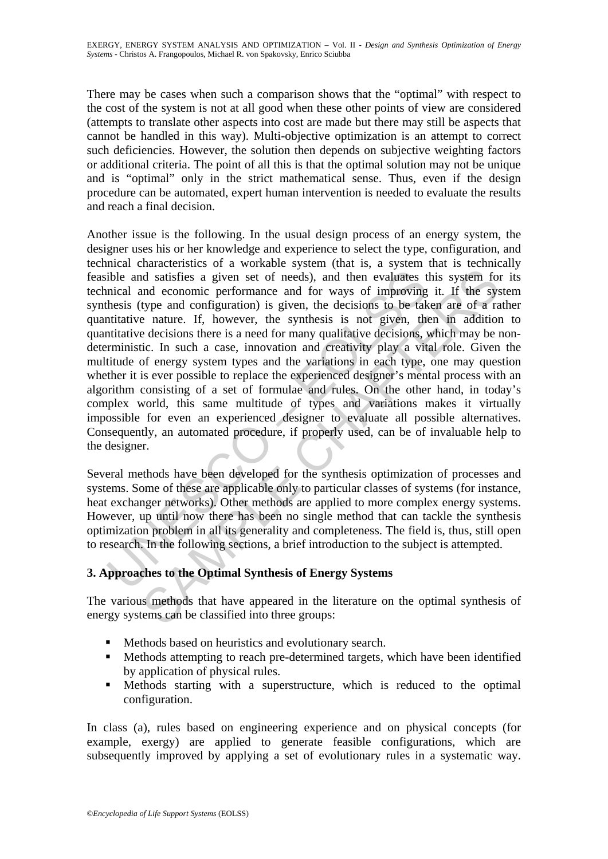There may be cases when such a comparison shows that the "optimal" with respect to the cost of the system is not at all good when these other points of view are considered (attempts to translate other aspects into cost are made but there may still be aspects that cannot be handled in this way). Multi-objective optimization is an attempt to correct such deficiencies. However, the solution then depends on subjective weighting factors or additional criteria. The point of all this is that the optimal solution may not be unique and is "optimal" only in the strict mathematical sense. Thus, even if the design procedure can be automated, expert human intervention is needed to evaluate the results and reach a final decision.

ible and satisfies a given set of needs), and then evaluates t<br>inical and economic performance and for ways of improving<br>hesis (type and configuration) is given, the decisions to be tak<br>intitative nature. If, however, the and satisfies a given set of needs), and then evaluates this system for<br>and satisfies a given set of needs), and then evaluates this system for<br>and economic performance and for ways of improving it. If the system<br>type and Another issue is the following. In the usual design process of an energy system, the designer uses his or her knowledge and experience to select the type, configuration, and technical characteristics of a workable system (that is, a system that is technically feasible and satisfies a given set of needs), and then evaluates this system for its technical and economic performance and for ways of improving it. If the system synthesis (type and configuration) is given, the decisions to be taken are of a rather quantitative nature. If, however, the synthesis is not given, then in addition to quantitative decisions there is a need for many qualitative decisions, which may be nondeterministic. In such a case, innovation and creativity play a vital role. Given the multitude of energy system types and the variations in each type, one may question whether it is ever possible to replace the experienced designer's mental process with an algorithm consisting of a set of formulae and rules. On the other hand, in today's complex world, this same multitude of types and variations makes it virtually impossible for even an experienced designer to evaluate all possible alternatives. Consequently, an automated procedure, if properly used, can be of invaluable help to the designer.

Several methods have been developed for the synthesis optimization of processes and systems. Some of these are applicable only to particular classes of systems (for instance, heat exchanger networks). Other methods are applied to more complex energy systems. However, up until now there has been no single method that can tackle the synthesis optimization problem in all its generality and completeness. The field is, thus, still open to research. In the following sections, a brief introduction to the subject is attempted.

# **3. Approaches to the Optimal Synthesis of Energy Systems**

The various methods that have appeared in the literature on the optimal synthesis of energy systems can be classified into three groups:

- **Methods based on heuristics and evolutionary search.**
- Methods attempting to reach pre-determined targets, which have been identified by application of physical rules.
- Methods starting with a superstructure, which is reduced to the optimal configuration.

In class (a), rules based on engineering experience and on physical concepts (for example, exergy) are applied to generate feasible configurations, which are subsequently improved by applying a set of evolutionary rules in a systematic way.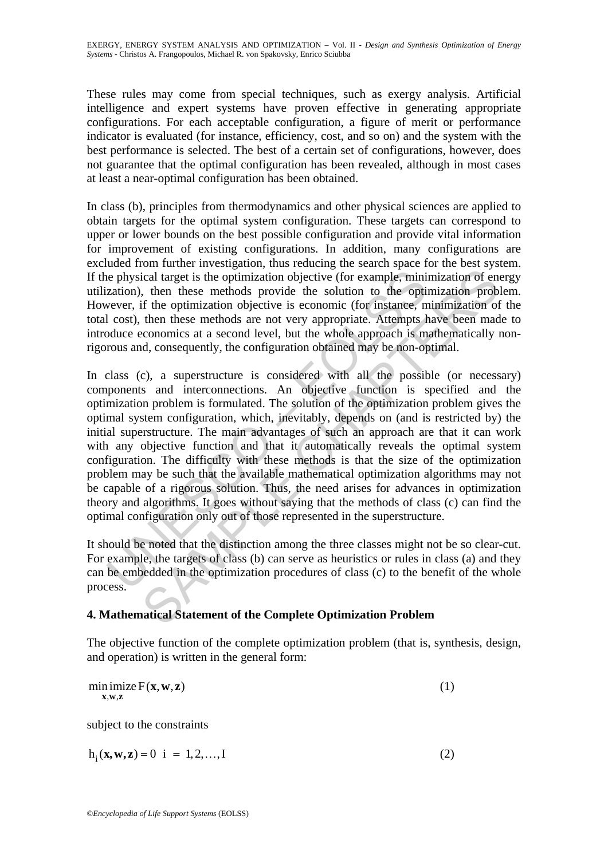These rules may come from special techniques, such as exergy analysis. Artificial intelligence and expert systems have proven effective in generating appropriate configurations. For each acceptable configuration, a figure of merit or performance indicator is evaluated (for instance, efficiency, cost, and so on) and the system with the best performance is selected. The best of a certain set of configurations, however, does not guarantee that the optimal configuration has been revealed, although in most cases at least a near-optimal configuration has been obtained.

In class (b), principles from thermodynamics and other physical sciences are applied to obtain targets for the optimal system configuration. These targets can correspond to upper or lower bounds on the best possible configuration and provide vital information for improvement of existing configurations. In addition, many configurations are excluded from further investigation, thus reducing the search space for the best system. If the physical target is the optimization objective (for example, minimization of energy utilization), then these methods provide the solution to the optimization problem. However, if the optimization objective is economic (for instance, minimization of the total cost), then these methods are not very appropriate. Attempts have been made to introduce economics at a second level, but the whole approach is mathematically nonrigorous and, consequently, the configuration obtained may be non-optimal.

ie physical target is the optimization objective (for example, minization), then these methods provide the solution to the optive ver, if the optimization objective is economic (for instance, n l cost), then these methods ical target is the optimization objective (for example, minimization of encircle at target is the optimization objective (for example, minimization of enchebration objective is economic (for instance, minimization or the o In class (c), a superstructure is considered with all the possible (or necessary) components and interconnections. An objective function is specified and the optimization problem is formulated. The solution of the optimization problem gives the optimal system configuration, which, inevitably, depends on (and is restricted by) the initial superstructure. The main advantages of such an approach are that it can work with any objective function and that it automatically reveals the optimal system configuration. The difficulty with these methods is that the size of the optimization problem may be such that the available mathematical optimization algorithms may not be capable of a rigorous solution. Thus, the need arises for advances in optimization theory and algorithms. It goes without saying that the methods of class (c) can find the optimal configuration only out of those represented in the superstructure.

It should be noted that the distinction among the three classes might not be so clear-cut. For example, the targets of class (b) can serve as heuristics or rules in class (a) and they can be embedded in the optimization procedures of class (c) to the benefit of the whole process.

# **4. Mathematical Statement of the Complete Optimization Problem**

The objective function of the complete optimization problem (that is, synthesis, design, and operation) is written in the general form:

| min imize $F(x, w, z)$<br>X, W, Z |  |
|-----------------------------------|--|
| subject to the constraints        |  |
| $h_i(x, w, z) = 0$ i = 1, 2, , I  |  |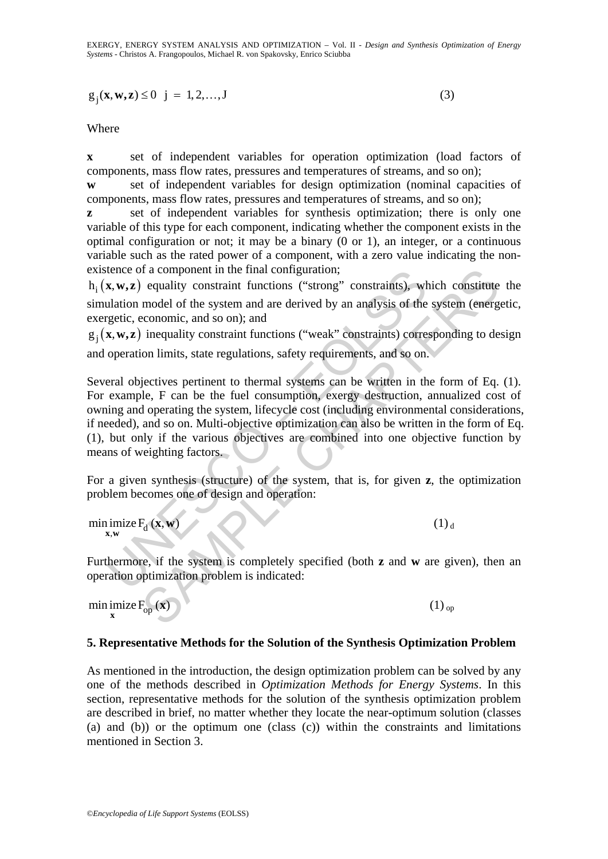EXERGY, ENERGY SYSTEM ANALYSIS AND OPTIMIZATION – Vol. II - *Design and Synthesis Optimization of Energy Systems* - Christos A. Frangopoulos, Michael R. von Spakovsky, Enrico Sciubba

$$
g_j(\mathbf{x}, \mathbf{w}, \mathbf{z}) \le 0 \quad j = 1, 2, ..., J
$$
 (3)

Where

**x** set of independent variables for operation optimization (load factors of components, mass flow rates, pressures and temperatures of streams, and so on);

**w** set of independent variables for design optimization (nominal capacities of components, mass flow rates, pressures and temperatures of streams, and so on);

**z** set of independent variables for synthesis optimization; there is only one variable of this type for each component, indicating whether the component exists in the optimal configuration or not; it may be a binary (0 or 1), an integer, or a continuous variable such as the rated power of a component, with a zero value indicating the nonexistence of a component in the final configuration;

h  $(x, w, z)$  equality constraint functions ("strong" constraints), which constitute the simulation model of the system and are derived by an analysis of the system (energetic, exergetic, economic, and so on); and

 $g_i(x, w, z)$  inequality constraint functions ("weak" constraints) corresponding to design and operation limits, state regulations, safety requirements, and so on.

tence of a component in the final configuration;<br> **x, w,z**) equality constraint functions ("strong" constraints), wh<br>
ulation model of the system and are derived by an analysis of the<br>
gettic, economic, and so on); and<br> of a component in the final configuration;<br>
equality constraint functions ("strong" constraints), which constitute<br>
model of the system and are derived by an analysis of the system (energ<br>
model of the system and are deri Several objectives pertinent to thermal systems can be written in the form of Eq. (1). For example, F can be the fuel consumption, exergy destruction, annualized cost of owning and operating the system, lifecycle cost (including environmental considerations, if needed), and so on. Multi-objective optimization can also be written in the form of Eq. (1), but only if the various objectives are combined into one objective function by means of weighting factors.

For a given synthesis (structure) of the system, that is, for given **z**, the optimization problem becomes one of design and operation:

 $\min_{\mathbf{x}, \mathbf{w}} \text{imize } F_d(\mathbf{x}, \mathbf{w})$ **x**, **w**) (1) d

Furthermore, if the system is completely specified (both **z** and **w** are given), then an operation optimization problem is indicated:

min imize  $F_{op}(\mathbf{x})$ 

**x** (1)  $_{\text{op}}$ 

#### **5. Representative Methods for the Solution of the Synthesis Optimization Problem**

As mentioned in the introduction, the design optimization problem can be solved by any one of the methods described in *Optimization Methods for Energy Systems*. In this section, representative methods for the solution of the synthesis optimization problem are described in brief, no matter whether they locate the near-optimum solution (classes (a) and (b)) or the optimum one (class (c)) within the constraints and limitations mentioned in Section 3.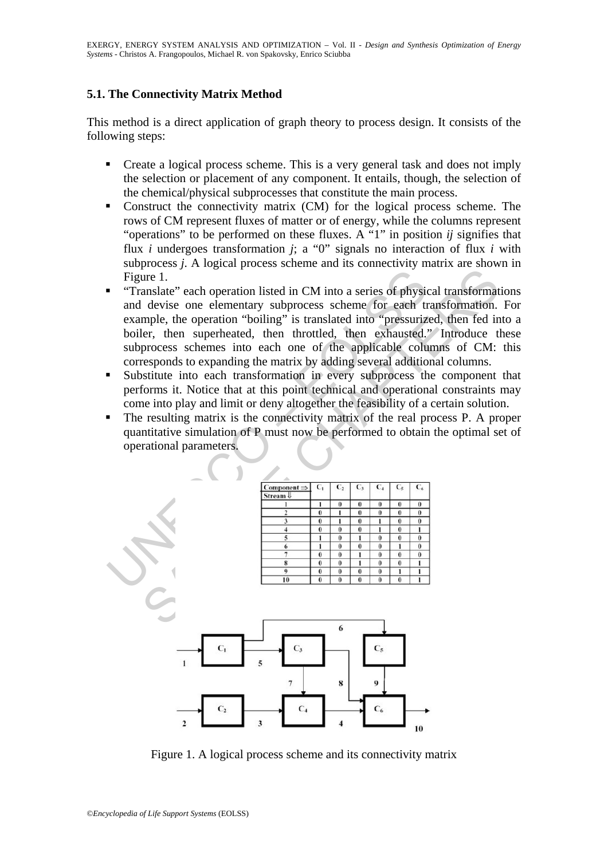# **5.1. The Connectivity Matrix Method**

This method is a direct application of graph theory to process design. It consists of the following steps:

- Create a logical process scheme. This is a very general task and does not imply the selection or placement of any component. It entails, though, the selection of the chemical/physical subprocesses that constitute the main process.
- Construct the connectivity matrix (CM) for the logical process scheme. The rows of CM represent fluxes of matter or of energy, while the columns represent "operations" to be performed on these fluxes. A "1" in position *ij* signifies that flux *i* undergoes transformation *j*; a "0" signals no interaction of flux *i* with subprocess *j*. A logical process scheme and its connectivity matrix are shown in Figure 1.
- "Translate" each operation listed in CM into a series of physical transformations and devise one elementary subprocess scheme for each transformation. For example, the operation "boiling" is translated into "pressurized, then fed into a boiler, then superheated, then throttled, then exhausted." Introduce these subprocess schemes into each one of the applicable columns of CM: this corresponds to expanding the matrix by adding several additional columns.
- Substitute into each transformation in every subprocess the component that performs it. Notice that at this point technical and operational constraints may come into play and limit or deny altogether the feasibility of a certain solution.
- The resulting matrix is the connectivity matrix of the real process P. A proper quantitative simulation of P must now be performed to obtain the optimal set of operational parameters.



Figure 1. A logical process scheme and its connectivity matrix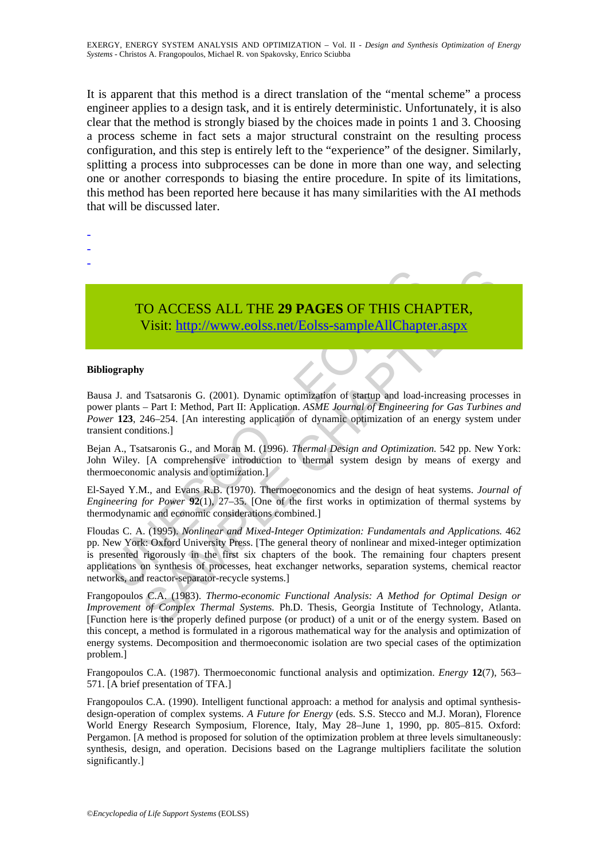It is apparent that this method is a direct translation of the "mental scheme" a process engineer applies to a design task, and it is entirely deterministic. Unfortunately, it is also clear that the method is strongly biased by the choices made in points 1 and 3. Choosing a process scheme in fact sets a major structural constraint on the resulting process configuration, and this step is entirely left to the "experience" of the designer. Similarly, splitting a process into subprocesses can be done in more than one way, and selecting one or another corresponds to biasing the entire procedure. In spite of its limitations, this method has been reported here because it has many similarities with the AI methods that will be discussed later.

- -
- -
- -
- TO ACCESS ALL THE **29 PAGES** OF THIS CHAPTER, Visit: http://www.eolss.net/Eolss-sampleAllChapter.aspx

#### **Bibliography**

Bausa J. and Tsatsaronis G. (2001). Dynamic optimization of startup and load-increasing processes in power plants – Part I: Method, Part II: Application. *ASME Journal of Engineering for Gas Turbines and Power* **123**, 246–254. [An interesting application of dynamic optimization of an energy system under transient conditions.]

Bejan A., Tsatsaronis G., and Moran M. (1996). *Thermal Design and Optimization.* 542 pp. New York: John Wiley. [A comprehensive introduction to thermal system design by means of exergy and thermoeconomic analysis and optimization.]

El-Sayed Y.M., and Evans R.B. (1970). Thermoeconomics and the design of heat systems. *Journal of Engineering for Power* **92**(1), 27–35. [One of the first works in optimization of thermal systems by thermodynamic and economic considerations combined.]

TO ACCESS ALL THE 29 PAGES OF THIS CHA<br>Visit: http://www.eolss.net/Eolss-sampleAllChapte<br>iography<br>as a J. and Tsatsaronis G. (2001). Dynamic optimization of startup and load-in<br>r plants – Part I: Method, Part II: Applicati TO ACCESS ALL THE 29 PAGES OF THIS CHAP[TER](https://www.eolss.net/ebooklib/sc_cart.aspx?File=E3-19-03-05),<br>Visit:  $\frac{1}{111}$ ,  $\frac{1}{111}$ ,  $\frac{1}{111}$ ,  $\frac{1}{111}$ ,  $\frac{1}{111}$ ,  $\frac{1}{111}$ ,  $\frac{1}{111}$ ,  $\frac{1}{111}$ ,  $\frac{1}{111}$ ,  $\frac{1}{111}$ ,  $\frac{1}{111}$ ,  $\frac{1}{111}$ ,  $\frac{1}{111}$ , Floudas C. A. (1995). *Nonlinear and Mixed-Integer Optimization: Fundamentals and Applications.* 462 pp. New York: Oxford University Press. [The general theory of nonlinear and mixed-integer optimization is presented rigorously in the first six chapters of the book. The remaining four chapters present applications on synthesis of processes, heat exchanger networks, separation systems, chemical reactor networks, and reactor-separator-recycle systems.]

Frangopoulos C.A. (1983). *Thermo-economic Functional Analysis: A Method for Optimal Design or Improvement of Complex Thermal Systems.* Ph.D. Thesis, Georgia Institute of Technology, Atlanta. [Function here is the properly defined purpose (or product) of a unit or of the energy system. Based on this concept, a method is formulated in a rigorous mathematical way for the analysis and optimization of energy systems. Decomposition and thermoeconomic isolation are two special cases of the optimization problem.]

Frangopoulos C.A. (1987). Thermoeconomic functional analysis and optimization. *Energy* **12**(7), 563– 571. [A brief presentation of TFA.]

Frangopoulos C.A. (1990). Intelligent functional approach: a method for analysis and optimal synthesisdesign-operation of complex systems. *A Future for Energy* (eds. S.S. Stecco and M.J. Moran), Florence World Energy Research Symposium, Florence, Italy, May 28–June 1, 1990, pp. 805–815. Oxford: Pergamon. [A method is proposed for solution of the optimization problem at three levels simultaneously: synthesis, design, and operation. Decisions based on the Lagrange multipliers facilitate the solution significantly.]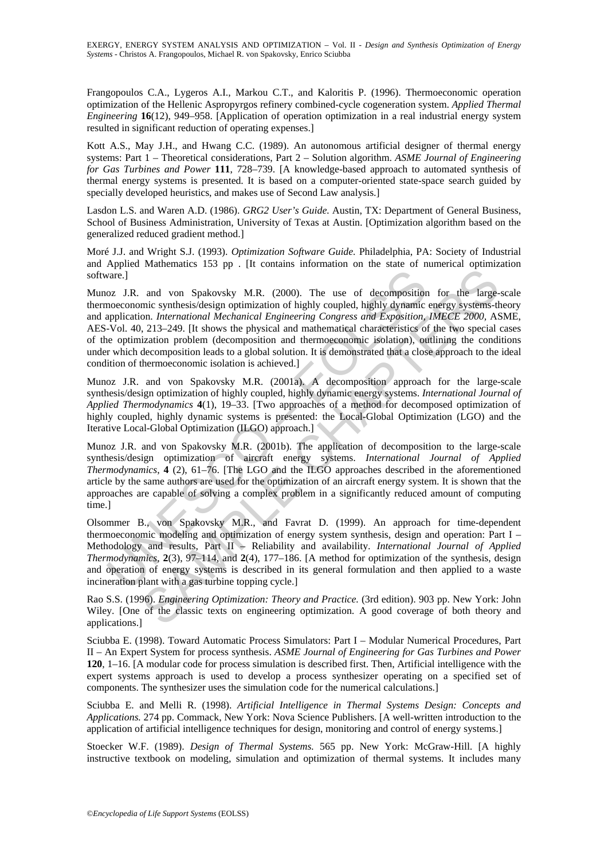Frangopoulos C.A., Lygeros A.I., Markou C.T., and Kaloritis P. (1996). Thermoeconomic operation optimization of the Hellenic Aspropyrgos refinery combined-cycle cogeneration system. *Applied Thermal Engineering* **16**(12), 949–958. [Application of operation optimization in a real industrial energy system resulted in significant reduction of operating expenses.]

Kott A.S., May J.H., and Hwang C.C. (1989). An autonomous artificial designer of thermal energy systems: Part 1 – Theoretical considerations, Part 2 – Solution algorithm. *ASME Journal of Engineering for Gas Turbines and Power* **111**, 728–739. [A knowledge-based approach to automated synthesis of thermal energy systems is presented. It is based on a computer-oriented state-space search guided by specially developed heuristics, and makes use of Second Law analysis.]

Lasdon L.S. and Waren A.D. (1986). *GRG2 User's Guide.* Austin, TX: Department of General Business, School of Business Administration, University of Texas at Austin. [Optimization algorithm based on the generalized reduced gradient method.]

Moré J.J. and Wright S.J. (1993). *Optimization Software Guide.* Philadelphia, PA: Society of Industrial and Applied Mathematics 153 pp . [It contains information on the state of numerical optimization software.]

vare.]<br>
oz J.R. and von Spakovsky M.R. (2000). The use of decomposition<br>
onceconomic synthesis/design optimization of highly coupled, highly dynamine<br>
application. *International Mechanical Engineering Congress and Exposi* and von Spakovsky M.R. (2000). The use of decomposition for the large-<br>nine synthesis/design optimization of highly coupled, highly dynamic energy systems-<br>non. International Mechanical Engineering Congress and Exposition Munoz J.R. and von Spakovsky M.R. (2000). The use of decomposition for the large-scale thermoeconomic synthesis/design optimization of highly coupled, highly dynamic energy systems-theory and application. *International Mechanical Engineering Congress and Exposition, IMECE 2000,* ASME, AES-Vol. 40, 213–249. [It shows the physical and mathematical characteristics of the two special cases of the optimization problem (decomposition and thermoeconomic isolation), outlining the conditions under which decomposition leads to a global solution. It is demonstrated that a close approach to the ideal condition of thermoeconomic isolation is achieved.]

Munoz J.R. and von Spakovsky M.R. (2001a). A decomposition approach for the large-scale synthesis/design optimization of highly coupled, highly dynamic energy systems. *International Journal of Applied Thermodynamics* **4**(1), 19–33. [Two approaches of a method for decomposed optimization of highly coupled, highly dynamic systems is presented: the Local-Global Optimization (LGO) and the Iterative Local-Global Optimization (ILGO) approach.]

Munoz J.R. and von Spakovsky M.R. (2001b). The application of decomposition to the large-scale synthesis/design optimization of aircraft energy systems. *International Journal of Applied Thermodynamics*, **4** (2), 61–76. [The LGO and the ILGO approaches described in the aforementioned article by the same authors are used for the optimization of an aircraft energy system. It is shown that the approaches are capable of solving a complex problem in a significantly reduced amount of computing time.]

Olsommer B., von Spakovsky M.R., and Favrat D. (1999). An approach for time-dependent thermoeconomic modeling and optimization of energy system synthesis, design and operation: Part I – Methodology and results, Part II – Reliability and availability. *International Journal of Applied Thermodynamics*, **2**(3), 97–114, and **2**(4), 177–186. [A method for optimization of the synthesis, design and operation of energy systems is described in its general formulation and then applied to a waste incineration plant with a gas turbine topping cycle.]

Rao S.S. (1996). *Engineering Optimization: Theory and Practice.* (3rd edition). 903 pp. New York: John Wiley. [One of the classic texts on engineering optimization. A good coverage of both theory and applications.]

Sciubba E. (1998). Toward Automatic Process Simulators: Part I – Modular Numerical Procedures, Part II – An Expert System for process synthesis. *ASME Journal of Engineering for Gas Turbines and Power* **120**, 1–16. [A modular code for process simulation is described first. Then, Artificial intelligence with the expert systems approach is used to develop a process synthesizer operating on a specified set of components. The synthesizer uses the simulation code for the numerical calculations.]

Sciubba E. and Melli R. (1998). *Artificial Intelligence in Thermal Systems Design: Concepts and Applications.* 274 pp. Commack, New York: Nova Science Publishers. [A well-written introduction to the application of artificial intelligence techniques for design, monitoring and control of energy systems.]

Stoecker W.F. (1989). *Design of Thermal Systems.* 565 pp. New York: McGraw-Hill. [A highly instructive textbook on modeling, simulation and optimization of thermal systems. It includes many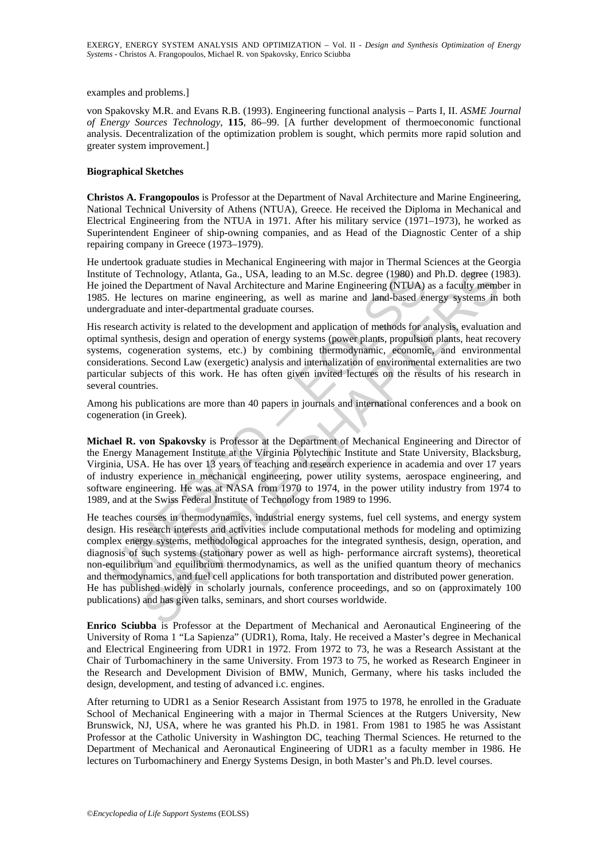examples and problems.]

von Spakovsky M.R. and Evans R.B. (1993). Engineering functional analysis – Parts I, II. *ASME Journal of Energy Sources Technology*, **115**, 86–99. [A further development of thermoeconomic functional analysis. Decentralization of the optimization problem is sought, which permits more rapid solution and greater system improvement.]

#### **Biographical Sketches**

**Christos A. Frangopoulos** is Professor at the Department of Naval Architecture and Marine Engineering, National Technical University of Athens (NTUA), Greece. He received the Diploma in Mechanical and Electrical Engineering from the NTUA in 1971. After his military service (1971–1973), he worked as Superintendent Engineer of ship-owning companies, and as Head of the Diagnostic Center of a ship repairing company in Greece (1973–1979).

He undertook graduate studies in Mechanical Engineering with major in Thermal Sciences at the Georgia Institute of Technology, Atlanta, Ga., USA, leading to an M.Sc. degree (1980) and Ph.D. degree (1983). He joined the Department of Naval Architecture and Marine Engineering (NTUA) as a faculty member in 1985. He lectures on marine engineering, as well as marine and land-based energy systems in both undergraduate and inter-departmental graduate courses.

His research activity is related to the development and application of methods for analysis, evaluation and optimal synthesis, design and operation of energy systems (power plants, propulsion plants, heat recovery systems, cogeneration systems, etc.) by combining thermodynamic, economic, and environmental considerations. Second Law (exergetic) analysis and internalization of environmental externalities are two particular subjects of this work. He has often given invited lectures on the results of his research in several countries.

Among his publications are more than 40 papers in journals and international conferences and a book on cogeneration (in Greek).

**Michael R. von Spakovsky** is Professor at the Department of Mechanical Engineering and Director of the Energy Management Institute at the Virginia Polytechnic Institute and State University, Blacksburg, Virginia, USA. He has over 13 years of teaching and research experience in academia and over 17 years of industry experience in mechanical engineering, power utility systems, aerospace engineering, and software engineering. He was at NASA from 1970 to 1974, in the power utility industry from 1974 to 1989, and at the Swiss Federal Institute of Technology from 1989 to 1996.

tute of Technology, Atlanta, Ga., USA, leading to an M.Sc. degree (1980) anoined the Department of Naval Architecture and Marine Engineering (NTUA) is in the Lectures on marine engineering, as well as marine and land-based becomology, Atlanta, Ga., USA, leading to an M.Sc. degree (1980) and Ph.D. degree (1<br>
Department of Naval Architecture and Marine Engineering (NTUA) as a faculty members<br>
curtures on marine engineering, as well as marine a He teaches courses in thermodynamics, industrial energy systems, fuel cell systems, and energy system design. His research interests and activities include computational methods for modeling and optimizing complex energy systems, methodological approaches for the integrated synthesis, design, operation, and diagnosis of such systems (stationary power as well as high- performance aircraft systems), theoretical non-equilibrium and equilibrium thermodynamics, as well as the unified quantum theory of mechanics and thermodynamics, and fuel cell applications for both transportation and distributed power generation. He has published widely in scholarly journals, conference proceedings, and so on (approximately 100 publications) and has given talks, seminars, and short courses worldwide.

**Enrico Sciubba** is Professor at the Department of Mechanical and Aeronautical Engineering of the University of Roma 1 "La Sapienza" (UDR1), Roma, Italy. He received a Master's degree in Mechanical and Electrical Engineering from UDR1 in 1972. From 1972 to 73, he was a Research Assistant at the Chair of Turbomachinery in the same University. From 1973 to 75, he worked as Research Engineer in the Research and Development Division of BMW, Munich, Germany, where his tasks included the design, development, and testing of advanced i.c. engines.

After returning to UDR1 as a Senior Research Assistant from 1975 to 1978, he enrolled in the Graduate School of Mechanical Engineering with a major in Thermal Sciences at the Rutgers University, New Brunswick, NJ, USA, where he was granted his Ph.D. in 1981. From 1981 to 1985 he was Assistant Professor at the Catholic University in Washington DC, teaching Thermal Sciences. He returned to the Department of Mechanical and Aeronautical Engineering of UDR1 as a faculty member in 1986. He lectures on Turbomachinery and Energy Systems Design, in both Master's and Ph.D. level courses.